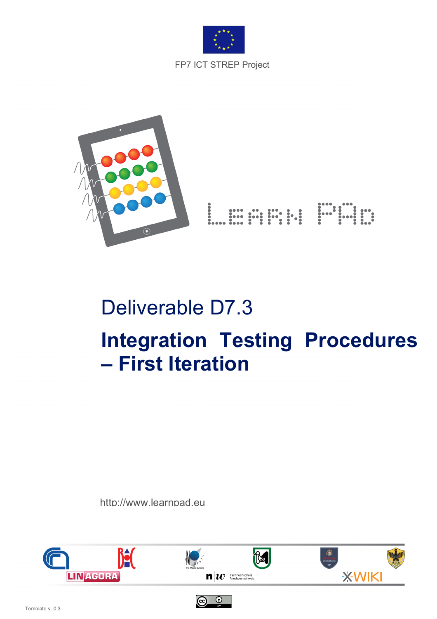



# Deliverable D7.3 **Integration Testing Procedures – First Iteration**

http://www.learnpad.eu



 $\odot$   $\odot$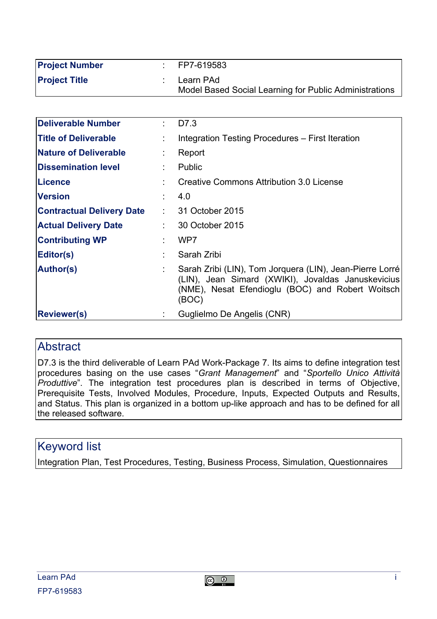| <b>Project Number</b> | FP7-619583                                                          |
|-----------------------|---------------------------------------------------------------------|
| <b>Project Title</b>  | Learn PAd<br>Model Based Social Learning for Public Administrations |

| Deliverable Number               | D7.3                                                                                                                                                                        |
|----------------------------------|-----------------------------------------------------------------------------------------------------------------------------------------------------------------------------|
| <b>Title of Deliverable</b>      | Integration Testing Procedures - First Iteration                                                                                                                            |
| <b>Nature of Deliverable</b>     | Report                                                                                                                                                                      |
| <b>Dissemination level</b>       | Public                                                                                                                                                                      |
| <b>Licence</b>                   | Creative Commons Attribution 3.0 License                                                                                                                                    |
| <b>Version</b>                   | 4.0                                                                                                                                                                         |
| <b>Contractual Delivery Date</b> | $: 31$ October 2015                                                                                                                                                         |
| Actual Delivery Date             | 30 October 2015                                                                                                                                                             |
| <b>Contributing WP</b>           | WP7                                                                                                                                                                         |
| Editor(s)                        | Sarah Zribi                                                                                                                                                                 |
| <b>Author(s)</b>                 | Sarah Zribi (LIN), Tom Jorquera (LIN), Jean-Pierre Lorré<br>(LIN), Jean Simard (XWIKI), Jovaldas Januskevicius<br>(NME), Nesat Efendioglu (BOC) and Robert Woitsch<br>(BOC) |
| <b>Reviewer(s)</b>               | Guglielmo De Angelis (CNR)                                                                                                                                                  |

#### **Abstract**

D7.3 is the third deliverable of Learn PAd Work-Package 7. Its aims to define integration test procedures basing on the use cases "*Grant Management*" and "*Sportello Unico Attività Produttive*". The integration test procedures plan is described in terms of Objective, Prerequisite Tests, Involved Modules, Procedure, Inputs, Expected Outputs and Results, and Status. This plan is organized in a bottom up-like approach and has to be defined for all the released software.

#### Keyword list

Integration Plan, Test Procedures, Testing, Business Process, Simulation, Questionnaires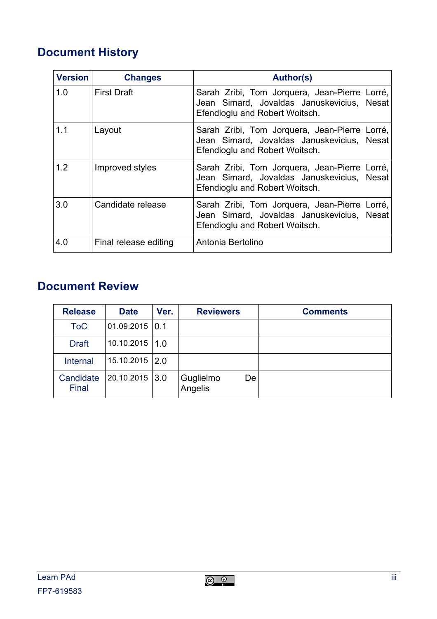# **Document History**

| <b>Version</b> | <b>Changes</b>        | <b>Author(s)</b>                                                                                                              |
|----------------|-----------------------|-------------------------------------------------------------------------------------------------------------------------------|
| 1.0            | <b>First Draft</b>    | Sarah Zribi, Tom Jorquera, Jean-Pierre Lorré,<br>Jean Simard, Jovaldas Januskevicius, Nesat<br>Efendioglu and Robert Woitsch. |
| 1.1            | Layout                | Sarah Zribi, Tom Jorquera, Jean-Pierre Lorré,<br>Jean Simard, Jovaldas Januskevicius, Nesat<br>Efendioglu and Robert Woitsch. |
| 1.2            | Improved styles       | Sarah Zribi, Tom Jorquera, Jean-Pierre Lorré,<br>Jean Simard, Jovaldas Januskevicius, Nesat<br>Efendioglu and Robert Woitsch. |
| 3.0            | Candidate release     | Sarah Zribi, Tom Jorquera, Jean-Pierre Lorré,<br>Jean Simard, Jovaldas Januskevicius, Nesat<br>Efendioglu and Robert Woitsch. |
| 4.0            | Final release editing | Antonia Bertolino                                                                                                             |

# **Document Review**

| <b>Release</b>     | <b>Date</b>        | Ver. | <b>Reviewers</b>           | <b>Comments</b> |
|--------------------|--------------------|------|----------------------------|-----------------|
| <b>ToC</b>         | $01.09.2015$ 0.1   |      |                            |                 |
| <b>Draft</b>       | $10.10.2015$   1.0 |      |                            |                 |
| <b>Internal</b>    | $15.10.2015$ 2.0   |      |                            |                 |
| Candidate<br>Final | $20.10.2015$ 3.0   |      | Guglielmo<br>De<br>Angelis |                 |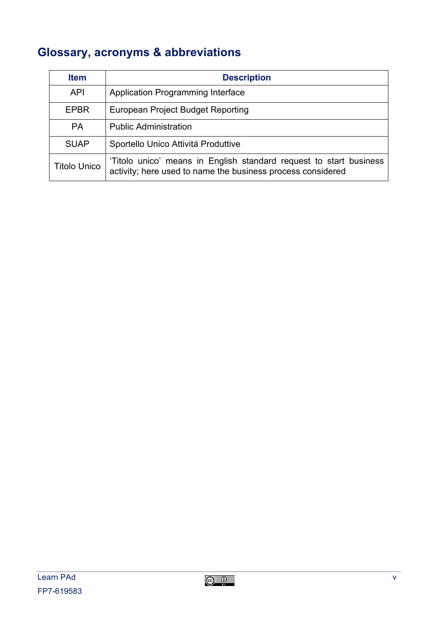# **Glossary, acronyms & abbreviations**

| <b>Item</b>         | <b>Description</b>                                                                                                                |
|---------------------|-----------------------------------------------------------------------------------------------------------------------------------|
| <b>API</b>          | <b>Application Programming Interface</b>                                                                                          |
| <b>EPBR</b>         | European Project Budget Reporting                                                                                                 |
| <b>PA</b>           | <b>Public Administration</b>                                                                                                      |
| <b>SUAP</b>         | Sportello Unico Attivitá Produttive                                                                                               |
| <b>Titolo Unico</b> | 'Titolo unico' means in English standard request to start business<br>activity; here used to name the business process considered |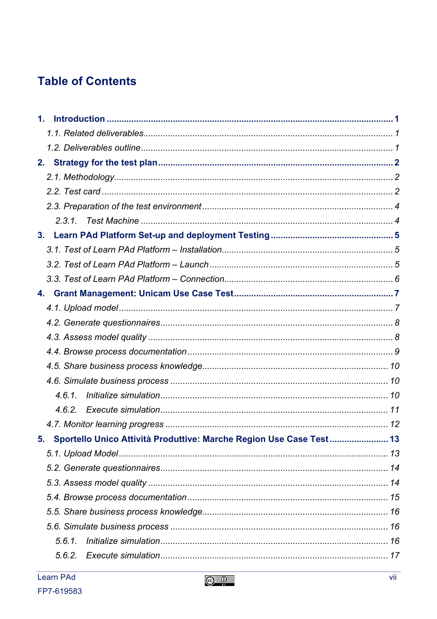# **Table of Contents**

| 1. |                                                                     |  |
|----|---------------------------------------------------------------------|--|
|    |                                                                     |  |
|    |                                                                     |  |
| 2. |                                                                     |  |
|    |                                                                     |  |
|    |                                                                     |  |
|    |                                                                     |  |
|    |                                                                     |  |
| 3. |                                                                     |  |
|    |                                                                     |  |
|    |                                                                     |  |
|    |                                                                     |  |
| 4. |                                                                     |  |
|    |                                                                     |  |
|    |                                                                     |  |
|    |                                                                     |  |
|    |                                                                     |  |
|    |                                                                     |  |
|    |                                                                     |  |
|    | 4.6.1.                                                              |  |
|    |                                                                     |  |
|    |                                                                     |  |
| 5. | Sportello Unico Attività Produttive: Marche Region Use Case Test 13 |  |
|    |                                                                     |  |
|    |                                                                     |  |
|    |                                                                     |  |
|    |                                                                     |  |
|    |                                                                     |  |
|    |                                                                     |  |
|    | 5.6.1.                                                              |  |
|    |                                                                     |  |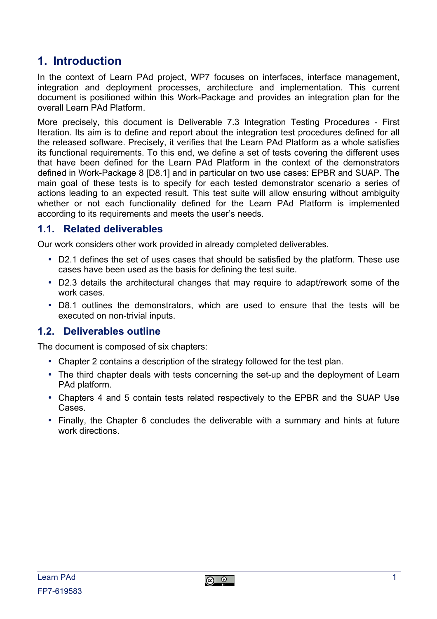## **1. Introduction**

In the context of Learn PAd project, WP7 focuses on interfaces, interface management, integration and deployment processes, architecture and implementation. This current document is positioned within this Work-Package and provides an integration plan for the overall Learn PAd Platform.

More precisely, this document is Deliverable 7.3 Integration Testing Procedures - First Iteration. Its aim is to define and report about the integration test procedures defined for all the released software. Precisely, it verifies that the Learn PAd Platform as a whole satisfies its functional requirements. To this end, we define a set of tests covering the different uses that have been defined for the Learn PAd Platform in the context of the demonstrators defined in Work-Package 8 [D8.1] and in particular on two use cases: EPBR and SUAP. The main goal of these tests is to specify for each tested demonstrator scenario a series of actions leading to an expected result. This test suite will allow ensuring without ambiguity whether or not each functionality defined for the Learn PAd Platform is implemented according to its requirements and meets the user's needs.

#### **1.1. Related deliverables**

Our work considers other work provided in already completed deliverables.

- D2.1 defines the set of uses cases that should be satisfied by the platform. These use cases have been used as the basis for defining the test suite.
- D2.3 details the architectural changes that may require to adapt/rework some of the work cases.
- D8.1 outlines the demonstrators, which are used to ensure that the tests will be executed on non-trivial inputs.

#### **1.2. Deliverables outline**

The document is composed of six chapters:

- Chapter 2 contains a description of the strategy followed for the test plan.
- The third chapter deals with tests concerning the set-up and the deployment of Learn PAd platform.
- Chapters 4 and 5 contain tests related respectively to the EPBR and the SUAP Use Cases.
- Finally, the Chapter 6 concludes the deliverable with a summary and hints at future work directions.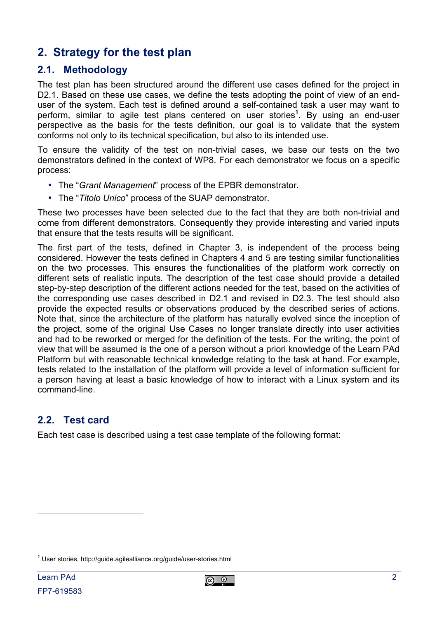## **2. Strategy for the test plan**

#### **2.1. Methodology**

The test plan has been structured around the different use cases defined for the project in D2.1. Based on these use cases, we define the tests adopting the point of view of an enduser of the system. Each test is defined around a self-contained task a user may want to perform, similar to agile test plans centered on user stories**<sup>1</sup>** . By using an end-user perspective as the basis for the tests definition, our goal is to validate that the system conforms not only to its technical specification, but also to its intended use.

To ensure the validity of the test on non-trivial cases, we base our tests on the two demonstrators defined in the context of WP8. For each demonstrator we focus on a specific process:

- The "*Grant Management*" process of the EPBR demonstrator.
- The "*Titolo Unico*" process of the SUAP demonstrator.

These two processes have been selected due to the fact that they are both non-trivial and come from different demonstrators. Consequently they provide interesting and varied inputs that ensure that the tests results will be significant.

The first part of the tests, defined in Chapter 3, is independent of the process being considered. However the tests defined in Chapters 4 and 5 are testing similar functionalities on the two processes. This ensures the functionalities of the platform work correctly on different sets of realistic inputs. The description of the test case should provide a detailed step-by-step description of the different actions needed for the test, based on the activities of the corresponding use cases described in D2.1 and revised in D2.3. The test should also provide the expected results or observations produced by the described series of actions. Note that, since the architecture of the platform has naturally evolved since the inception of the project, some of the original Use Cases no longer translate directly into user activities and had to be reworked or merged for the definition of the tests. For the writing, the point of view that will be assumed is the one of a person without a priori knowledge of the Learn PAd Platform but with reasonable technical knowledge relating to the task at hand. For example, tests related to the installation of the platform will provide a level of information sufficient for a person having at least a basic knowledge of how to interact with a Linux system and its command-line.

#### **2.2. Test card**

Each test case is described using a test case template of the following format:

 $\overline{a}$ 

**<sup>1</sup>** User stories. http://guide.agilealliance.org/guide/user-stories.html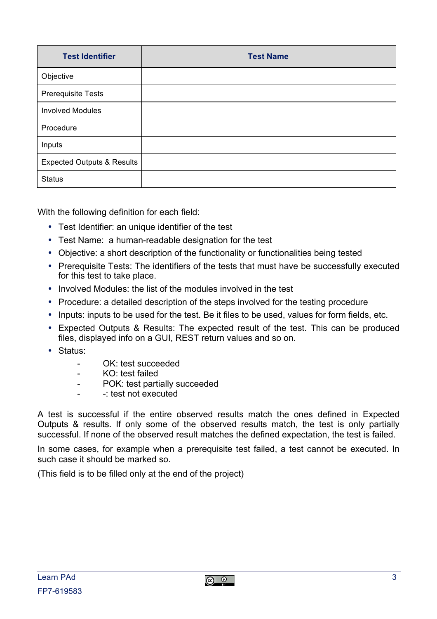| <b>Test Identifier</b>                | <b>Test Name</b> |
|---------------------------------------|------------------|
| Objective                             |                  |
| Prerequisite Tests                    |                  |
| <b>Involved Modules</b>               |                  |
| Procedure                             |                  |
| Inputs                                |                  |
| <b>Expected Outputs &amp; Results</b> |                  |
| <b>Status</b>                         |                  |

With the following definition for each field:

- Test Identifier: an unique identifier of the test
- Test Name: a human-readable designation for the test
- Objective: a short description of the functionality or functionalities being tested
- Prerequisite Tests: The identifiers of the tests that must have be successfully executed for this test to take place.
- Involved Modules: the list of the modules involved in the test
- Procedure: a detailed description of the steps involved for the testing procedure
- Inputs: inputs to be used for the test. Be it files to be used, values for form fields, etc.
- Expected Outputs & Results: The expected result of the test. This can be produced files, displayed info on a GUI, REST return values and so on.
- Status:
	- OK: test succeeded
	- KO: test failed
	- POK: test partially succeeded
	- -: test not executed

A test is successful if the entire observed results match the ones defined in Expected Outputs & results. If only some of the observed results match, the test is only partially successful. If none of the observed result matches the defined expectation, the test is failed.

In some cases, for example when a prerequisite test failed, a test cannot be executed. In such case it should be marked so.

(This field is to be filled only at the end of the project)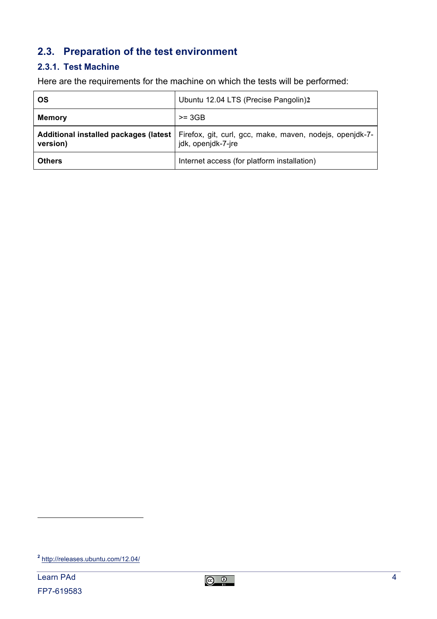#### **2.3. Preparation of the test environment**

#### **2.3.1. Test Machine**

Here are the requirements for the machine on which the tests will be performed:

| <b>OS</b>     | Ubuntu 12.04 LTS (Precise Pangolin)2                                                                                   |
|---------------|------------------------------------------------------------------------------------------------------------------------|
| <b>Memory</b> | $>= 3GB$                                                                                                               |
| version)      | Additional installed packages (latest   Firefox, git, curl, gcc, make, maven, nodejs, openjdk-7-<br>jdk, openjdk-7-jre |
| <b>Others</b> | Internet access (for platform installation)                                                                            |

 $\overline{a}$ 

**<sup>2</sup>** http://releases.ubuntu.com/12.04/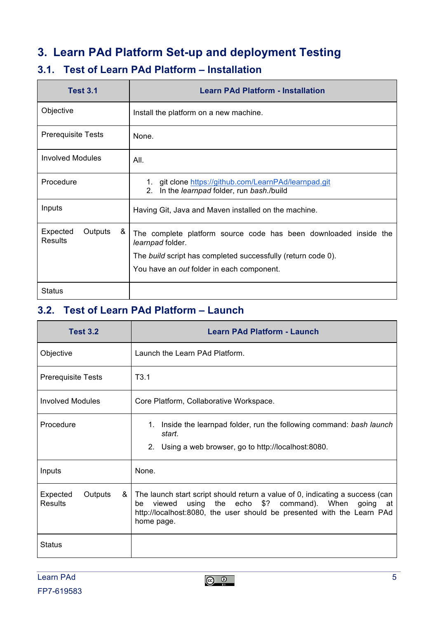## **3. Learn PAd Platform Set-up and deployment Testing**

#### **3.1. Test of Learn PAd Platform – Installation**

| <b>Test 3.1</b>                            | <b>Learn PAd Platform - Installation</b>                                                                           |
|--------------------------------------------|--------------------------------------------------------------------------------------------------------------------|
| Objective                                  | Install the platform on a new machine.                                                                             |
| <b>Prerequisite Tests</b>                  | None.                                                                                                              |
| <b>Involved Modules</b>                    | All.                                                                                                               |
| Procedure                                  | 1. git clone https://github.com/LearnPAd/learnpad.git<br>In the learnpad folder, run bash./build<br>2 <sub>1</sub> |
| Inputs                                     | Having Git, Java and Maven installed on the machine.                                                               |
| &<br>Expected<br>Outputs<br><b>Results</b> | The complete platform source code has been downloaded inside the<br>learnpad folder.                               |
|                                            | The build script has completed successfully (return code 0).                                                       |
|                                            | You have an out folder in each component.                                                                          |
| Status                                     |                                                                                                                    |

#### **3.2. Test of Learn PAd Platform – Launch**

| <b>Test 3.2</b>                     | <b>Learn PAd Platform - Launch</b>                                                                                                                                                                                                     |
|-------------------------------------|----------------------------------------------------------------------------------------------------------------------------------------------------------------------------------------------------------------------------------------|
| Objective                           | Launch the Learn PAd Platform.                                                                                                                                                                                                         |
| <b>Prerequisite Tests</b>           | T3.1                                                                                                                                                                                                                                   |
| <b>Involved Modules</b>             | Core Platform, Collaborative Workspace.                                                                                                                                                                                                |
| Procedure                           | 1. Inside the learnpad folder, run the following command: bash launch<br>start.<br>2. Using a web browser, go to http://localhost:8080.                                                                                                |
| Inputs                              | None.                                                                                                                                                                                                                                  |
| Expected<br>&<br>Outputs<br>Results | The launch start script should return a value of 0, indicating a success (can<br>using the echo \$? command). When going<br>viewed<br>be<br>at<br>http://localhost:8080, the user should be presented with the Learn PAd<br>home page. |
| <b>Status</b>                       |                                                                                                                                                                                                                                        |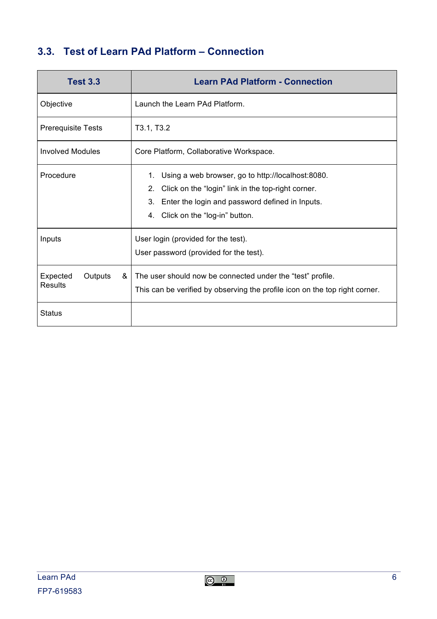## **3.3. Test of Learn PAd Platform – Connection**

| <b>Test 3.3</b>                            | <b>Learn PAd Platform - Connection</b>                                                                                                                                                                                       |
|--------------------------------------------|------------------------------------------------------------------------------------------------------------------------------------------------------------------------------------------------------------------------------|
| Objective                                  | Launch the Learn PAd Platform.                                                                                                                                                                                               |
| <b>Prerequisite Tests</b>                  | T3.1, T3.2                                                                                                                                                                                                                   |
| Involved Modules                           | Core Platform, Collaborative Workspace.                                                                                                                                                                                      |
| Procedure                                  | Using a web browser, go to http://localhost:8080.<br>1.<br>Click on the "login" link in the top-right corner.<br>2 <sub>1</sub><br>3.<br>Enter the login and password defined in Inputs.<br>4. Click on the "log-in" button. |
| Inputs                                     | User login (provided for the test).<br>User password (provided for the test).                                                                                                                                                |
| &<br>Expected<br>Outputs<br><b>Results</b> | The user should now be connected under the "test" profile.<br>This can be verified by observing the profile icon on the top right corner.                                                                                    |
| <b>Status</b>                              |                                                                                                                                                                                                                              |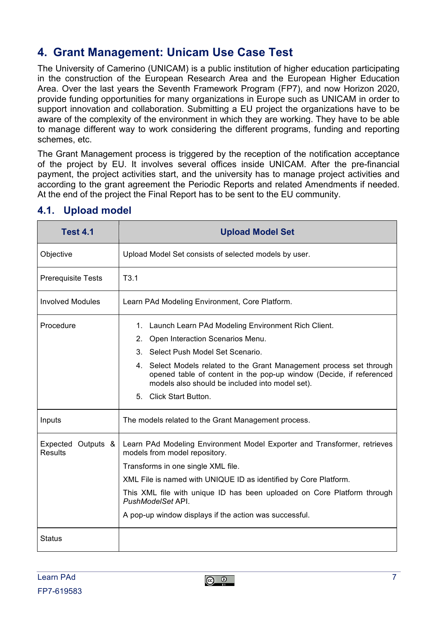# **4. Grant Management: Unicam Use Case Test**

The University of Camerino (UNICAM) is a public institution of higher education participating in the construction of the European Research Area and the European Higher Education Area. Over the last years the Seventh Framework Program (FP7), and now Horizon 2020, provide funding opportunities for many organizations in Europe such as UNICAM in order to support innovation and collaboration. Submitting a EU project the organizations have to be aware of the complexity of the environment in which they are working. They have to be able to manage different way to work considering the different programs, funding and reporting schemes, etc.

The Grant Management process is triggered by the reception of the notification acceptance of the project by EU. It involves several offices inside UNICAM. After the pre-financial payment, the project activities start, and the university has to manage project activities and according to the grant agreement the Periodic Reports and related Amendments if needed. At the end of the project the Final Report has to be sent to the EU community.

| <b>Test 4.1</b>                      | <b>Upload Model Set</b>                                                                                                                                                                        |
|--------------------------------------|------------------------------------------------------------------------------------------------------------------------------------------------------------------------------------------------|
| Objective                            | Upload Model Set consists of selected models by user.                                                                                                                                          |
| <b>Prerequisite Tests</b>            | T3.1                                                                                                                                                                                           |
| <b>Involved Modules</b>              | Learn PAd Modeling Environment, Core Platform.                                                                                                                                                 |
| Procedure                            | 1. Launch Learn PAd Modeling Environment Rich Client.                                                                                                                                          |
|                                      | 2. Open Interaction Scenarios Menu.                                                                                                                                                            |
|                                      | 3. Select Push Model Set Scenario.                                                                                                                                                             |
|                                      | 4. Select Models related to the Grant Management process set through<br>opened table of content in the pop-up window (Decide, if referenced<br>models also should be included into model set). |
|                                      | 5. Click Start Button.                                                                                                                                                                         |
| Inputs                               | The models related to the Grant Management process.                                                                                                                                            |
| Expected Outputs &<br><b>Results</b> | Learn PAd Modeling Environment Model Exporter and Transformer, retrieves<br>models from model repository.                                                                                      |
|                                      | Transforms in one single XML file.                                                                                                                                                             |
|                                      | XML File is named with UNIQUE ID as identified by Core Platform.                                                                                                                               |
|                                      | This XML file with unique ID has been uploaded on Core Platform through<br>PushModelSet API.                                                                                                   |
|                                      | A pop-up window displays if the action was successful.                                                                                                                                         |
| <b>Status</b>                        |                                                                                                                                                                                                |

#### **4.1. Upload model**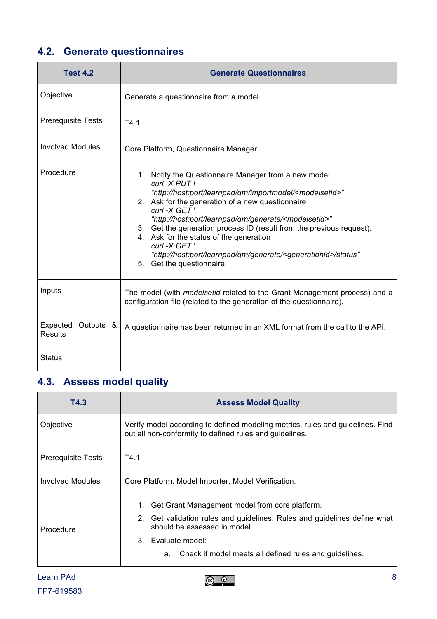# **4.2. Generate questionnaires**

| <b>Test 4.2</b>                         | <b>Generate Questionnaires</b>                                                                                                                                                                                                                                                                                                                                                                                                                                                                                                                                               |  |
|-----------------------------------------|------------------------------------------------------------------------------------------------------------------------------------------------------------------------------------------------------------------------------------------------------------------------------------------------------------------------------------------------------------------------------------------------------------------------------------------------------------------------------------------------------------------------------------------------------------------------------|--|
| Objective                               | Generate a questionnaire from a model.                                                                                                                                                                                                                                                                                                                                                                                                                                                                                                                                       |  |
| <b>Prerequisite Tests</b>               | T4.1                                                                                                                                                                                                                                                                                                                                                                                                                                                                                                                                                                         |  |
| <b>Involved Modules</b>                 | Core Platform, Questionnaire Manager.                                                                                                                                                                                                                                                                                                                                                                                                                                                                                                                                        |  |
| Procedure                               | 1. Notify the Questionnaire Manager from a new model<br>curl - $X$ PUT \<br>"http://host:port/learnpad/qm/importmodel/ <modelsetid>"<br/>2. Ask for the generation of a new questionnaire<br/><math>curl -X GET \</math><br/>"http://host:port/learnpad/qm/generate/<modelsetid>"<br/>3. Get the generation process ID (result from the previous request).<br/>4. Ask for the status of the generation<br/><math>curl -X GET</math><br/>"http://host:port/learnpad/qm/generate/<generationid>/status"<br/>5. Get the questionnaire.</generationid></modelsetid></modelsetid> |  |
| Inputs                                  | The model (with <i>modelsetid</i> related to the Grant Management process) and a<br>configuration file (related to the generation of the questionnaire).                                                                                                                                                                                                                                                                                                                                                                                                                     |  |
| Expected<br>Outputs &<br><b>Results</b> | A questionnaire has been returned in an XML format from the call to the API.                                                                                                                                                                                                                                                                                                                                                                                                                                                                                                 |  |
| <b>Status</b>                           |                                                                                                                                                                                                                                                                                                                                                                                                                                                                                                                                                                              |  |

## **4.3. Assess model quality**

| T4.3                      | <b>Assess Model Quality</b>                                                                                                               |
|---------------------------|-------------------------------------------------------------------------------------------------------------------------------------------|
| Objective                 | Verify model according to defined modeling metrics, rules and guidelines. Find<br>out all non-conformity to defined rules and guidelines. |
| <b>Prerequisite Tests</b> | T4.1                                                                                                                                      |
| <b>Involved Modules</b>   | Core Platform, Model Importer, Model Verification.                                                                                        |
| Procedure                 | 1. Get Grant Management model from core platform.                                                                                         |
|                           | 2. Get validation rules and guidelines. Rules and guidelines define what<br>should be assessed in model.                                  |
|                           | 3. Evaluate model:                                                                                                                        |
|                           | a. Check if model meets all defined rules and guidelines.                                                                                 |
| <b>Learn PAd</b>          | 8                                                                                                                                         |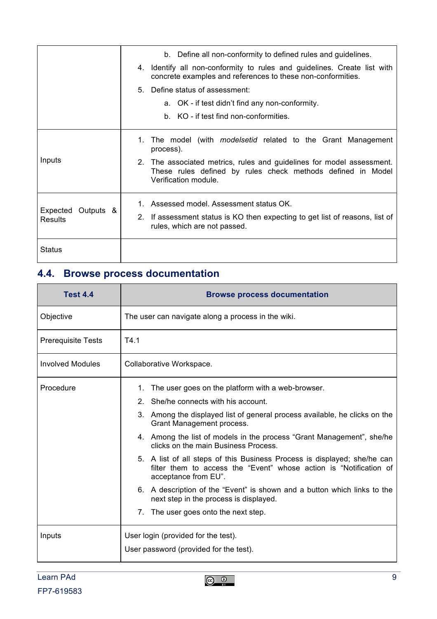|                                      | b. Define all non-conformity to defined rules and guidelines.                                                                                                |
|--------------------------------------|--------------------------------------------------------------------------------------------------------------------------------------------------------------|
|                                      | 4. Identify all non-conformity to rules and guidelines. Create list with<br>concrete examples and references to these non-conformities.                      |
|                                      | 5. Define status of assessment:                                                                                                                              |
|                                      | a. OK - if test didn't find any non-conformity.                                                                                                              |
|                                      | b. KO - if test find non-conformities.                                                                                                                       |
|                                      | 1. The model (with modelsetid related to the Grant Management<br>process).                                                                                   |
| Inputs                               | 2. The associated metrics, rules and guidelines for model assessment.<br>These rules defined by rules check methods defined in Model<br>Verification module. |
|                                      | 1. Assessed model. Assessment status OK.                                                                                                                     |
| Expected Outputs &<br><b>Results</b> | 2. If assessment status is KO then expecting to get list of reasons, list of<br>rules, which are not passed.                                                 |
| Status                               |                                                                                                                                                              |

# **4.4. Browse process documentation**

| <b>Test 4.4</b>           | <b>Browse process documentation</b>                                                                                                                                    |
|---------------------------|------------------------------------------------------------------------------------------------------------------------------------------------------------------------|
| Objective                 | The user can navigate along a process in the wiki.                                                                                                                     |
| <b>Prerequisite Tests</b> | T4.1                                                                                                                                                                   |
| <b>Involved Modules</b>   | Collaborative Workspace.                                                                                                                                               |
| Procedure                 | 1. The user goes on the platform with a web-browser.                                                                                                                   |
|                           | 2. She/he connects with his account.                                                                                                                                   |
|                           | 3. Among the displayed list of general process available, he clicks on the<br>Grant Management process.                                                                |
|                           | 4. Among the list of models in the process "Grant Management", she/he<br>clicks on the main Business Process.                                                          |
|                           | 5. A list of all steps of this Business Process is displayed; she/he can<br>filter them to access the "Event" whose action is "Notification of<br>acceptance from EU". |
|                           | 6. A description of the "Event" is shown and a button which links to the<br>next step in the process is displayed.                                                     |
|                           | The user goes onto the next step.<br>7.                                                                                                                                |
| Inputs                    | User login (provided for the test).                                                                                                                                    |
|                           | User password (provided for the test).                                                                                                                                 |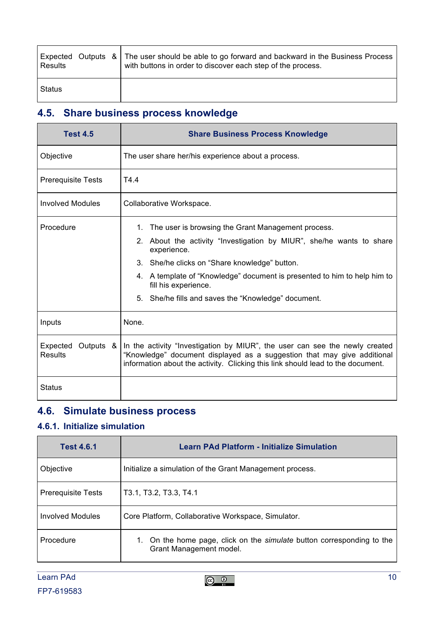| Results |  | Expected Outputs & The user should be able to go forward and backward in the Business Process<br>with buttons in order to discover each step of the process. |
|---------|--|--------------------------------------------------------------------------------------------------------------------------------------------------------------|
| Status  |  |                                                                                                                                                              |

# **4.5. Share business process knowledge**

| <b>Test 4.5</b>                         | <b>Share Business Process Knowledge</b>                                                                                                                                                                                                   |  |
|-----------------------------------------|-------------------------------------------------------------------------------------------------------------------------------------------------------------------------------------------------------------------------------------------|--|
| Objective                               | The user share her/his experience about a process.                                                                                                                                                                                        |  |
| <b>Prerequisite Tests</b>               | T4.4                                                                                                                                                                                                                                      |  |
| <b>Involved Modules</b>                 | Collaborative Workspace.                                                                                                                                                                                                                  |  |
| Procedure                               | 1. The user is browsing the Grant Management process.                                                                                                                                                                                     |  |
|                                         | 2. About the activity "Investigation by MIUR", she/he wants to share<br>experience.                                                                                                                                                       |  |
|                                         | 3. She/he clicks on "Share knowledge" button.                                                                                                                                                                                             |  |
|                                         | 4. A template of "Knowledge" document is presented to him to help him to<br>fill his experience.                                                                                                                                          |  |
|                                         | 5. She/he fills and saves the "Knowledge" document.                                                                                                                                                                                       |  |
| Inputs                                  | None.                                                                                                                                                                                                                                     |  |
| Expected<br>Outputs &<br><b>Results</b> | In the activity "Investigation by MIUR", the user can see the newly created<br>"Knowledge" document displayed as a suggestion that may give additional<br>information about the activity. Clicking this link should lead to the document. |  |
| Status                                  |                                                                                                                                                                                                                                           |  |

## **4.6. Simulate business process**

#### **4.6.1. Initialize simulation**

| <b>Test 4.6.1</b>         | <b>Learn PAd Platform - Initialize Simulation</b>                                                        |
|---------------------------|----------------------------------------------------------------------------------------------------------|
| Objective                 | Initialize a simulation of the Grant Management process.                                                 |
| <b>Prerequisite Tests</b> | T3.1, T3.2, T3.3, T4.1                                                                                   |
| <b>Involved Modules</b>   | Core Platform, Collaborative Workspace, Simulator.                                                       |
| Procedure                 | 1. On the home page, click on the <i>simulate</i> button corresponding to the<br>Grant Management model. |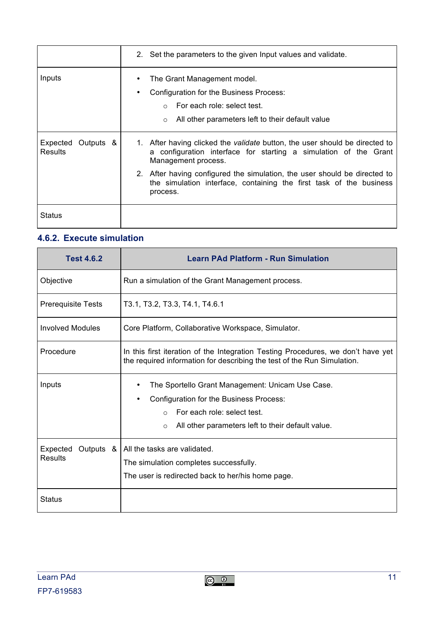|                                         | 2. Set the parameters to the given Input values and validate.                                                                                                                    |
|-----------------------------------------|----------------------------------------------------------------------------------------------------------------------------------------------------------------------------------|
| Inputs                                  | The Grant Management model.<br>Configuration for the Business Process:<br>٠<br>For each role: select test.<br>All other parameters left to their default value<br>$\Omega$       |
| Expected<br>Outputs &<br><b>Results</b> | 1. After having clicked the <i>validate</i> button, the user should be directed to<br>configuration interface for starting a simulation of the Grant<br>a<br>Management process. |
|                                         | 2. After having configured the simulation, the user should be directed to<br>the simulation interface, containing the first task of the business<br>process.                     |
| Status                                  |                                                                                                                                                                                  |

#### **4.6.2. Execute simulation**

| <b>Test 4.6.2</b>                | <b>Learn PAd Platform - Run Simulation</b>                                                                                                                                                             |  |
|----------------------------------|--------------------------------------------------------------------------------------------------------------------------------------------------------------------------------------------------------|--|
| Objective                        | Run a simulation of the Grant Management process.                                                                                                                                                      |  |
| <b>Prerequisite Tests</b>        | T3.1, T3.2, T3.3, T4.1, T4.6.1                                                                                                                                                                         |  |
| Involved Modules                 | Core Platform, Collaborative Workspace, Simulator.                                                                                                                                                     |  |
| Procedure                        | In this first iteration of the Integration Testing Procedures, we don't have yet<br>the required information for describing the test of the Run Simulation.                                            |  |
| Inputs                           | The Sportello Grant Management: Unicam Use Case.<br>Configuration for the Business Process:<br>For each role: select test.<br>$\Omega$<br>All other parameters left to their default value.<br>$\circ$ |  |
| Expected<br>Outputs &<br>Results | All the tasks are validated.<br>The simulation completes successfully.<br>The user is redirected back to her/his home page.                                                                            |  |
| <b>Status</b>                    |                                                                                                                                                                                                        |  |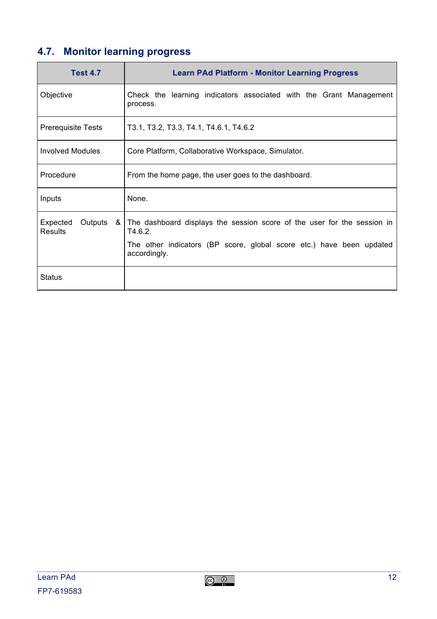## **4.7. Monitor learning progress**

| <b>Test 4.7</b>                              | <b>Learn PAd Platform - Monitor Learning Progress</b>                                                                                                                      |
|----------------------------------------------|----------------------------------------------------------------------------------------------------------------------------------------------------------------------------|
| Objective                                    | Check the learning indicators associated with the Grant Management<br>process.                                                                                             |
| <b>Prerequisite Tests</b>                    | T3.1, T3.2, T3.3, T4.1, T4.6.1, T4.6.2                                                                                                                                     |
| <b>Involved Modules</b>                      | Core Platform, Collaborative Workspace, Simulator.                                                                                                                         |
| Procedure                                    | From the home page, the user goes to the dashboard.                                                                                                                        |
| Inputs                                       | None.                                                                                                                                                                      |
| Expected<br>Outputs<br>- &<br><b>Results</b> | The dashboard displays the session score of the user for the session in<br>T4.6.2.<br>The other indicators (BP score, global score etc.) have been updated<br>accordingly. |
| Status                                       |                                                                                                                                                                            |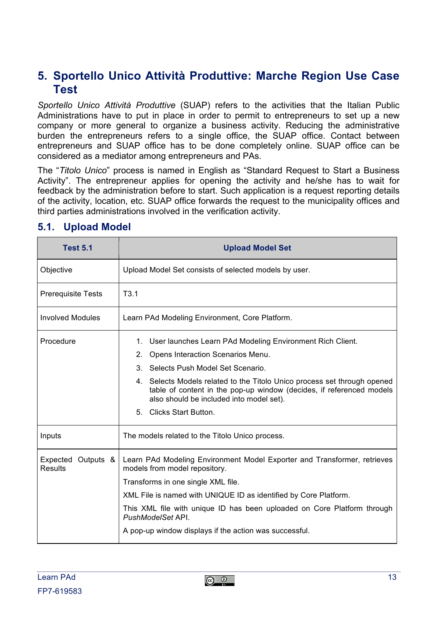#### **5. Sportello Unico Attività Produttive: Marche Region Use Case Test**

*Sportello Unico Attività Produttive* (SUAP) refers to the activities that the Italian Public Administrations have to put in place in order to permit to entrepreneurs to set up a new company or more general to organize a business activity. Reducing the administrative burden the entrepreneurs refers to a single office, the SUAP office. Contact between entrepreneurs and SUAP office has to be done completely online. SUAP office can be considered as a mediator among entrepreneurs and PAs.

The "*Titolo Unico*" process is named in English as "Standard Request to Start a Business Activity". The entrepreneur applies for opening the activity and he/she has to wait for feedback by the administration before to start. Such application is a request reporting details of the activity, location, etc. SUAP office forwards the request to the municipality offices and third parties administrations involved in the verification activity.

| <b>Test 5.1</b>                      | <b>Upload Model Set</b>                                                                                                                                                                      |
|--------------------------------------|----------------------------------------------------------------------------------------------------------------------------------------------------------------------------------------------|
| Objective                            | Upload Model Set consists of selected models by user.                                                                                                                                        |
| <b>Prerequisite Tests</b>            | T3.1                                                                                                                                                                                         |
| <b>Involved Modules</b>              | Learn PAd Modeling Environment, Core Platform.                                                                                                                                               |
| Procedure                            | 1. User launches Learn PAd Modeling Environment Rich Client.                                                                                                                                 |
|                                      | 2. Opens Interaction Scenarios Menu.                                                                                                                                                         |
|                                      | 3. Selects Push Model Set Scenario.                                                                                                                                                          |
|                                      | 4. Selects Models related to the Titolo Unico process set through opened<br>table of content in the pop-up window (decides, if referenced models<br>also should be included into model set). |
|                                      | 5. Clicks Start Button.                                                                                                                                                                      |
| Inputs                               | The models related to the Titolo Unico process.                                                                                                                                              |
| Expected Outputs &<br><b>Results</b> | Learn PAd Modeling Environment Model Exporter and Transformer, retrieves<br>models from model repository.                                                                                    |
|                                      | Transforms in one single XML file.                                                                                                                                                           |
|                                      | XML File is named with UNIQUE ID as identified by Core Platform.                                                                                                                             |
|                                      | This XML file with unique ID has been uploaded on Core Platform through<br>PushModelSet API.                                                                                                 |
|                                      | A pop-up window displays if the action was successful.                                                                                                                                       |

#### **5.1. Upload Model**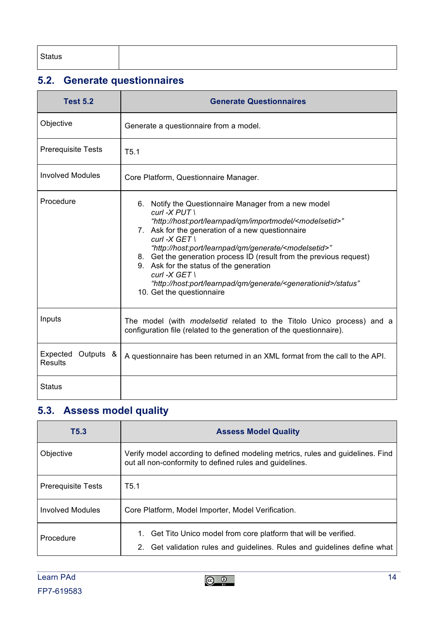# **5.2. Generate questionnaires**

| <b>Test 5.2</b>                         | <b>Generate Questionnaires</b>                                                                                                                                                                                                                                                                                                                                                                                                                                                                                                                                               |
|-----------------------------------------|------------------------------------------------------------------------------------------------------------------------------------------------------------------------------------------------------------------------------------------------------------------------------------------------------------------------------------------------------------------------------------------------------------------------------------------------------------------------------------------------------------------------------------------------------------------------------|
| Objective                               | Generate a questionnaire from a model.                                                                                                                                                                                                                                                                                                                                                                                                                                                                                                                                       |
| <b>Prerequisite Tests</b>               | T5.1                                                                                                                                                                                                                                                                                                                                                                                                                                                                                                                                                                         |
| <b>Involved Modules</b>                 | Core Platform, Questionnaire Manager.                                                                                                                                                                                                                                                                                                                                                                                                                                                                                                                                        |
| Procedure                               | 6. Notify the Questionnaire Manager from a new model<br>$curl -X$ $PUT$ \<br>"http://host:port/learnpad/qm/importmodel/ <modelsetid>"<br/>7. Ask for the generation of a new questionnaire<br/><math>curl -X GET</math><br/>"http://host:port/learnpad/qm/generate/<modelsetid>"<br/>8. Get the generation process ID (result from the previous request)<br/>9. Ask for the status of the generation<br/>curl -<math>X</math> GET \<br/>"http://host:port/learnpad/qm/generate/<generationid>/status"<br/>10. Get the questionnaire</generationid></modelsetid></modelsetid> |
| Inputs                                  | The model (with <i>modelsetid</i> related to the Titolo Unico process) and a<br>configuration file (related to the generation of the questionnaire).                                                                                                                                                                                                                                                                                                                                                                                                                         |
| Expected<br>Outputs &<br><b>Results</b> | A questionnaire has been returned in an XML format from the call to the API.                                                                                                                                                                                                                                                                                                                                                                                                                                                                                                 |
| <b>Status</b>                           |                                                                                                                                                                                                                                                                                                                                                                                                                                                                                                                                                                              |

# **5.3. Assess model quality**

| T5.3                      | <b>Assess Model Quality</b>                                                                                                                   |
|---------------------------|-----------------------------------------------------------------------------------------------------------------------------------------------|
| Objective                 | Verify model according to defined modeling metrics, rules and guidelines. Find<br>out all non-conformity to defined rules and guidelines.     |
| <b>Prerequisite Tests</b> | T5.1                                                                                                                                          |
| Involved Modules          | Core Platform, Model Importer, Model Verification.                                                                                            |
| Procedure                 | 1. Get Tito Unico model from core platform that will be verified.<br>2. Get validation rules and guidelines. Rules and guidelines define what |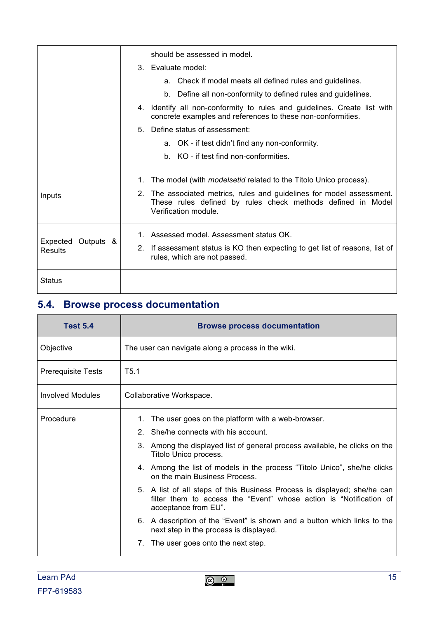|                                  | should be assessed in model.                                                                                                                                 |
|----------------------------------|--------------------------------------------------------------------------------------------------------------------------------------------------------------|
|                                  | 3. Evaluate model:                                                                                                                                           |
|                                  | a. Check if model meets all defined rules and guidelines.                                                                                                    |
|                                  | b. Define all non-conformity to defined rules and guidelines.                                                                                                |
|                                  | 4. Identify all non-conformity to rules and guidelines. Create list with<br>concrete examples and references to these non-conformities.                      |
|                                  | 5. Define status of assessment:                                                                                                                              |
|                                  | a. OK - if test didn't find any non-conformity.                                                                                                              |
|                                  | b. KO - if test find non-conformities.                                                                                                                       |
|                                  | 1. The model (with <i>modelsetid</i> related to the Titolo Unico process).                                                                                   |
| Inputs                           | 2. The associated metrics, rules and guidelines for model assessment.<br>These rules defined by rules check methods defined in Model<br>Verification module. |
| Expected<br>Outputs &<br>Results | 1. Assessed model. Assessment status OK.                                                                                                                     |
|                                  | 2. If assessment status is KO then expecting to get list of reasons, list of<br>rules, which are not passed.                                                 |
| Status                           |                                                                                                                                                              |

# **5.4. Browse process documentation**

| <b>Test 5.4</b>           | <b>Browse process documentation</b>                                                                                                                                    |
|---------------------------|------------------------------------------------------------------------------------------------------------------------------------------------------------------------|
| Objective                 | The user can navigate along a process in the wiki.                                                                                                                     |
| <b>Prerequisite Tests</b> | T <sub>5.1</sub>                                                                                                                                                       |
| <b>Involved Modules</b>   | Collaborative Workspace.                                                                                                                                               |
| Procedure                 | The user goes on the platform with a web-browser.<br>1.                                                                                                                |
|                           | 2. She/he connects with his account.                                                                                                                                   |
|                           | 3. Among the displayed list of general process available, he clicks on the<br>Titolo Unico process.                                                                    |
|                           | 4. Among the list of models in the process "Titolo Unico", she/he clicks<br>on the main Business Process.                                                              |
|                           | 5. A list of all steps of this Business Process is displayed; she/he can<br>filter them to access the "Event" whose action is "Notification of<br>acceptance from EU". |
|                           | 6. A description of the "Event" is shown and a button which links to the<br>next step in the process is displayed.                                                     |
|                           | The user goes onto the next step.<br>$7_{\scriptscriptstyle{\ddots}}$                                                                                                  |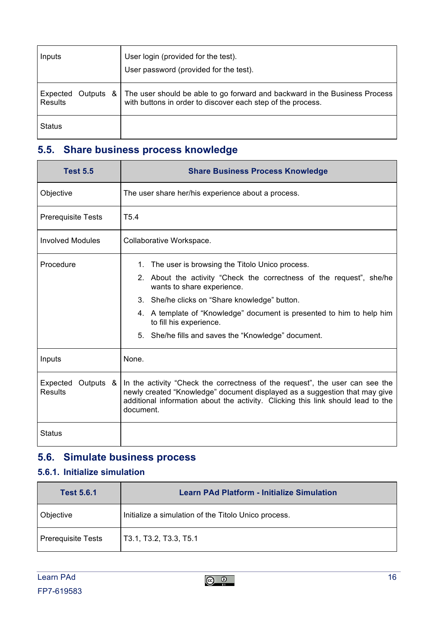| Inputs                           | User login (provided for the test).<br>User password (provided for the test).                                                             |
|----------------------------------|-------------------------------------------------------------------------------------------------------------------------------------------|
| Expected<br>Outputs &<br>Results | The user should be able to go forward and backward in the Business Process<br>with buttons in order to discover each step of the process. |
| <b>Status</b>                    |                                                                                                                                           |

#### **5.5. Share business process knowledge**

| <b>Test 5.5</b>                         | <b>Share Business Process Knowledge</b>                                                                                                                                                                                                                     |
|-----------------------------------------|-------------------------------------------------------------------------------------------------------------------------------------------------------------------------------------------------------------------------------------------------------------|
| Objective                               | The user share her/his experience about a process.                                                                                                                                                                                                          |
| <b>Prerequisite Tests</b>               | T <sub>5.4</sub>                                                                                                                                                                                                                                            |
| <b>Involved Modules</b>                 | Collaborative Workspace.                                                                                                                                                                                                                                    |
| Procedure                               | 1. The user is browsing the Titolo Unico process.                                                                                                                                                                                                           |
|                                         | 2. About the activity "Check the correctness of the request", she/he<br>wants to share experience.                                                                                                                                                          |
|                                         | 3. She/he clicks on "Share knowledge" button.                                                                                                                                                                                                               |
|                                         | 4. A template of "Knowledge" document is presented to him to help him<br>to fill his experience.                                                                                                                                                            |
|                                         | 5. She/he fills and saves the "Knowledge" document.                                                                                                                                                                                                         |
| Inputs                                  | None.                                                                                                                                                                                                                                                       |
| Expected<br>Outputs &<br><b>Results</b> | In the activity "Check the correctness of the request", the user can see the<br>newly created "Knowledge" document displayed as a suggestion that may give<br>additional information about the activity. Clicking this link should lead to the<br>document. |
| Status                                  |                                                                                                                                                                                                                                                             |

#### **5.6. Simulate business process**

#### **5.6.1. Initialize simulation**

| <b>Test 5.6.1</b>         | <b>Learn PAd Platform - Initialize Simulation</b>    |
|---------------------------|------------------------------------------------------|
| <b>Objective</b>          | Initialize a simulation of the Titolo Unico process. |
| <b>Prerequisite Tests</b> | T3.1, T3.2, T3.3, T5.1                               |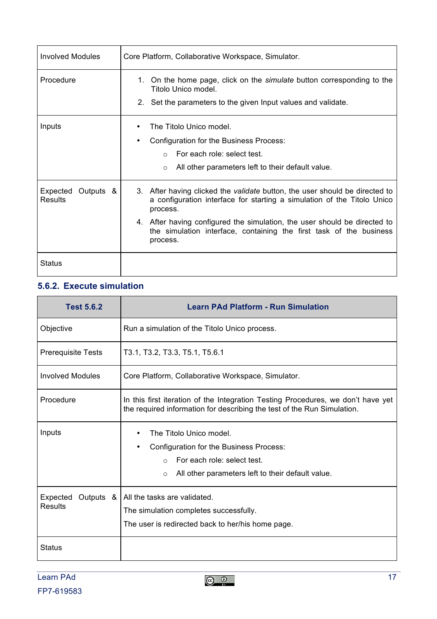| <b>Involved Modules</b>                 | Core Platform, Collaborative Workspace, Simulator.                                                                                                                                                                                                                                                                                 |
|-----------------------------------------|------------------------------------------------------------------------------------------------------------------------------------------------------------------------------------------------------------------------------------------------------------------------------------------------------------------------------------|
| Procedure                               | 1. On the home page, click on the <i>simulate</i> button corresponding to the<br>Titolo Unico model.<br>2. Set the parameters to the given Input values and validate.                                                                                                                                                              |
| Inputs                                  | The Titolo Unico model.<br>Configuration for the Business Process:<br>For each role: select test.<br>All other parameters left to their default value.<br>$\circ$                                                                                                                                                                  |
| Expected<br>Outputs &<br><b>Results</b> | 3. After having clicked the validate button, the user should be directed to<br>a configuration interface for starting a simulation of the Titolo Unico<br>process.<br>4. After having configured the simulation, the user should be directed to<br>the simulation interface, containing the first task of the business<br>process. |
| Status                                  |                                                                                                                                                                                                                                                                                                                                    |

#### **5.6.2. Execute simulation**

| <b>Test 5.6.2</b>                       | <b>Learn PAd Platform - Run Simulation</b>                                                                                                                                      |
|-----------------------------------------|---------------------------------------------------------------------------------------------------------------------------------------------------------------------------------|
| Objective                               | Run a simulation of the Titolo Unico process.                                                                                                                                   |
| <b>Prerequisite Tests</b>               | T3.1, T3.2, T3.3, T5.1, T5.6.1                                                                                                                                                  |
| <b>Involved Modules</b>                 | Core Platform, Collaborative Workspace, Simulator.                                                                                                                              |
| Procedure                               | In this first iteration of the Integration Testing Procedures, we don't have yet<br>the required information for describing the test of the Run Simulation.                     |
| Inputs                                  | The Titolo Unico model.<br>Configuration for the Business Process:<br>For each role: select test.<br>$\bigcirc$<br>All other parameters left to their default value.<br>$\circ$ |
| Expected<br>Outputs &<br><b>Results</b> | All the tasks are validated.<br>The simulation completes successfully.<br>The user is redirected back to her/his home page.                                                     |
| <b>Status</b>                           |                                                                                                                                                                                 |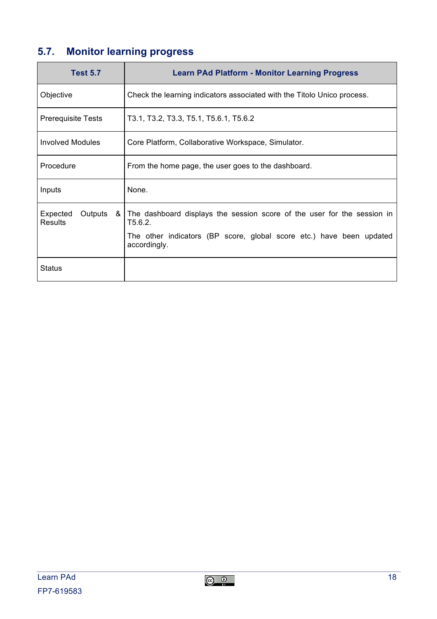# **5.7. Monitor learning progress**

| <b>Test 5.7</b>                                | <b>Learn PAd Platform - Monitor Learning Progress</b>                                                                                                                      |
|------------------------------------------------|----------------------------------------------------------------------------------------------------------------------------------------------------------------------------|
| Objective                                      | Check the learning indicators associated with the Titolo Unico process.                                                                                                    |
| <b>Prerequisite Tests</b>                      | T3.1, T3.2, T3.3, T5.1, T5.6.1, T5.6.2                                                                                                                                     |
| <b>Involved Modules</b>                        | Core Platform, Collaborative Workspace, Simulator.                                                                                                                         |
| Procedure                                      | From the home page, the user goes to the dashboard.                                                                                                                        |
| Inputs                                         | None.                                                                                                                                                                      |
| Expected<br>Outputs<br>- & I<br><b>Results</b> | The dashboard displays the session score of the user for the session in<br>T5.6.2.<br>The other indicators (BP score, global score etc.) have been updated<br>accordingly. |
| Status                                         |                                                                                                                                                                            |